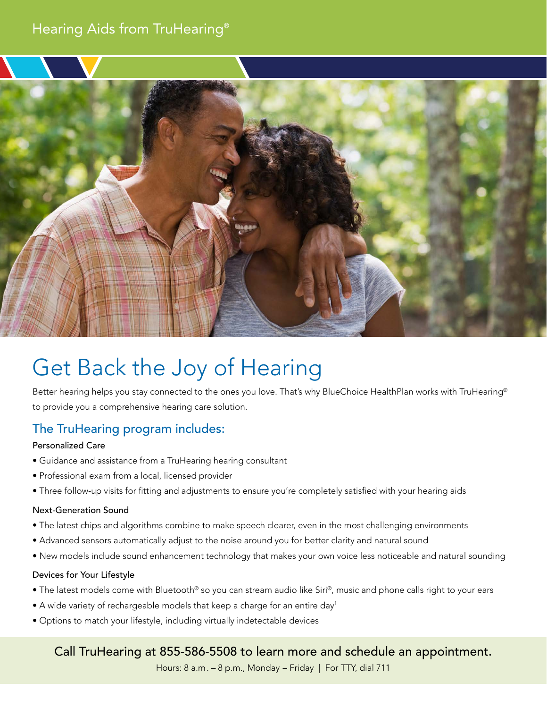# Hearing Aids from TruHearing®



# Get Back the Joy of Hearing

Better hearing helps you stay connected to the ones you love. That's why BlueChoice HealthPlan works with TruHearing® to provide you a comprehensive hearing care solution.

# The TruHearing program includes:

#### Personalized Care

- Guidance and assistance from a TruHearing hearing consultant
- Professional exam from a local, licensed provider
- Three follow-up visits for fitting and adjustments to ensure you're completely satisfied with your hearing aids

#### Next-Generation Sound

- The latest chips and algorithms combine to make speech clearer, even in the most challenging environments
- Advanced sensors automatically adjust to the noise around you for better clarity and natural sound
- New models include sound enhancement technology that makes your own voice less noticeable and natural sounding

#### Devices for Your Lifestyle

- The latest models come with Bluetooth® so you can stream audio like Siri®, music and phone calls right to your ears
- $\bullet$  A wide variety of rechargeable models that keep a charge for an entire day<sup>1</sup>
- Options to match your lifestyle, including virtually indetectable devices

## Call TruHearing at 855-586-5508 to learn more and schedule an appointment.

Hours: 8 a.m. – 8 p.m., Monday – Friday | For TTY, dial 711